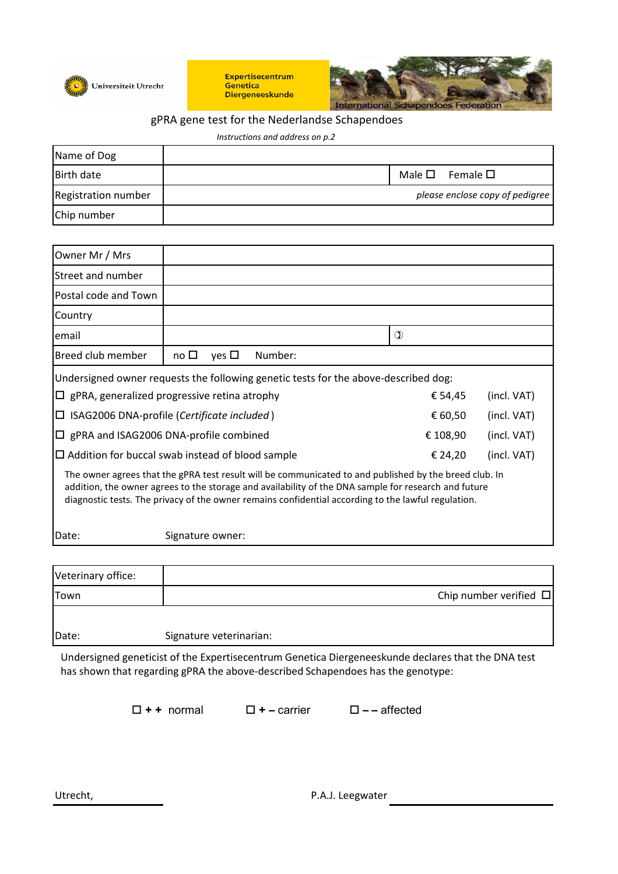

**Expertisecentrum** Genetica **Diergeneeskunde** 



## gPRA gene test for the Nederlandse Schapendoes

| Instructions and address on p.2 |  |  |                                 |  |  |
|---------------------------------|--|--|---------------------------------|--|--|
| Name of Dog                     |  |  |                                 |  |  |
| <b>Birth date</b>               |  |  | Male $\square$ Female $\square$ |  |  |
| Registration number             |  |  | please enclose copy of pedigree |  |  |
| Chip number                     |  |  |                                 |  |  |

| Owner Mr / Mrs                                                                                                                                                                                                                                                                                                        |              |            |          |             |             |  |
|-----------------------------------------------------------------------------------------------------------------------------------------------------------------------------------------------------------------------------------------------------------------------------------------------------------------------|--------------|------------|----------|-------------|-------------|--|
| Street and number                                                                                                                                                                                                                                                                                                     |              |            |          |             |             |  |
| Postal code and Town                                                                                                                                                                                                                                                                                                  |              |            |          |             |             |  |
| Country                                                                                                                                                                                                                                                                                                               |              |            |          |             |             |  |
| email                                                                                                                                                                                                                                                                                                                 |              |            |          |             | $\mathbf 0$ |  |
| Breed club member                                                                                                                                                                                                                                                                                                     | no $\square$ | yes $\Box$ | Number:  |             |             |  |
| Undersigned owner requests the following genetic tests for the above-described dog:                                                                                                                                                                                                                                   |              |            |          |             |             |  |
| $\Box$ gPRA, generalized progressive retina atrophy                                                                                                                                                                                                                                                                   |              |            | € 54,45  | (incl. VAT) |             |  |
| $\Box$ ISAG2006 DNA-profile (Certificate included)                                                                                                                                                                                                                                                                    |              |            | € 60,50  | (incl. VAT) |             |  |
| $\Box$ gPRA and ISAG2006 DNA-profile combined                                                                                                                                                                                                                                                                         |              |            | € 108,90 | (incl. VAT) |             |  |
| $\Box$ Addition for buccal swab instead of blood sample                                                                                                                                                                                                                                                               |              |            | € 24,20  | (incl. VAT) |             |  |
| The owner agrees that the gPRA test result will be communicated to and published by the breed club. In<br>addition, the owner agrees to the storage and availability of the DNA sample for research and future<br>diagnostic tests. The privacy of the owner remains confidential according to the lawful regulation. |              |            |          |             |             |  |

Date: Signature owner:

| Veterinary office: |                             |
|--------------------|-----------------------------|
| Town               | Chip number verified $\Box$ |
|                    |                             |
| Date:              | Signature veterinarian:     |

Undersigned geneticist of the Expertisecentrum Genetica Diergeneeskunde declares that the DNA test has shown that regarding gPRA the above-described Schapendoes has the genotype:

**+ +** normal **+** – carrier – – affected